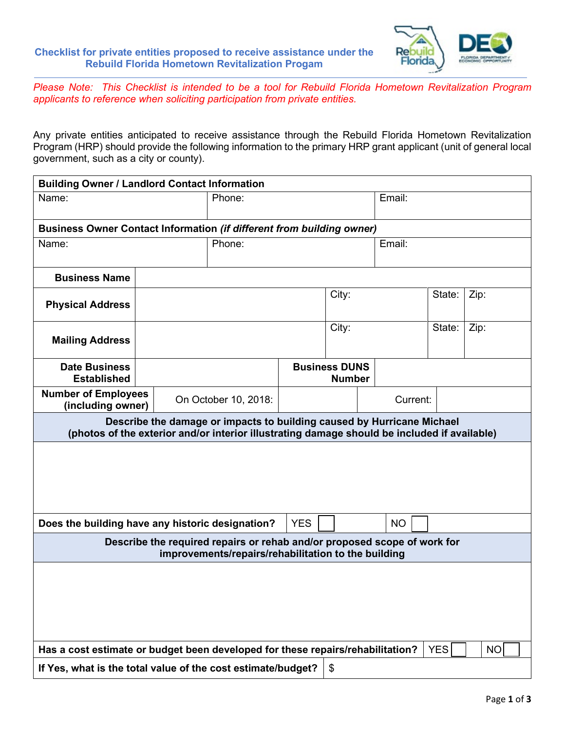

*Please Note: This Checklist is intended to be a tool for Rebuild Florida Hometown Revitalization Program applicants to reference when soliciting participation from private entities.*

Any private entities anticipated to receive assistance through the Rebuild Florida Hometown Revitalization Program (HRP) should provide the following information to the primary HRP grant applicant (unit of general local government, such as a city or county).

| <b>Building Owner / Landlord Contact Information</b>                                                                                                                   |                      |        |            |                                       |           |        |  |  |  |  |  |  |  |
|------------------------------------------------------------------------------------------------------------------------------------------------------------------------|----------------------|--------|------------|---------------------------------------|-----------|--------|--|--|--|--|--|--|--|
| Name:                                                                                                                                                                  |                      | Phone: |            |                                       | Email:    |        |  |  |  |  |  |  |  |
| Business Owner Contact Information (if different from building owner)                                                                                                  |                      |        |            |                                       |           |        |  |  |  |  |  |  |  |
| Name:                                                                                                                                                                  |                      | Phone: |            |                                       |           | Email: |  |  |  |  |  |  |  |
|                                                                                                                                                                        |                      |        |            |                                       |           |        |  |  |  |  |  |  |  |
| <b>Business Name</b>                                                                                                                                                   |                      |        |            |                                       |           |        |  |  |  |  |  |  |  |
| <b>Physical Address</b>                                                                                                                                                |                      |        |            | City:                                 | State:    | Zip:   |  |  |  |  |  |  |  |
| <b>Mailing Address</b>                                                                                                                                                 |                      |        |            | City:                                 | State:    | Zip:   |  |  |  |  |  |  |  |
| <b>Date Business</b><br><b>Established</b>                                                                                                                             |                      |        |            | <b>Business DUNS</b><br><b>Number</b> |           |        |  |  |  |  |  |  |  |
| <b>Number of Employees</b><br>(including owner)                                                                                                                        | On October 10, 2018: |        | Current:   |                                       |           |        |  |  |  |  |  |  |  |
| Describe the damage or impacts to building caused by Hurricane Michael<br>(photos of the exterior and/or interior illustrating damage should be included if available) |                      |        |            |                                       |           |        |  |  |  |  |  |  |  |
|                                                                                                                                                                        |                      |        |            |                                       |           |        |  |  |  |  |  |  |  |
| Does the building have any historic designation?                                                                                                                       |                      |        | <b>YES</b> |                                       | <b>NO</b> |        |  |  |  |  |  |  |  |
| Describe the required repairs or rehab and/or proposed scope of work for<br>improvements/repairs/rehabilitation to the building                                        |                      |        |            |                                       |           |        |  |  |  |  |  |  |  |
|                                                                                                                                                                        |                      |        |            |                                       |           |        |  |  |  |  |  |  |  |
| Has a cost estimate or budget been developed for these repairs/rehabilitation?                                                                                         |                      |        | YES        |                                       | <b>NO</b> |        |  |  |  |  |  |  |  |
| If Yes, what is the total value of the cost estimate/budget?                                                                                                           | \$                   |        |            |                                       |           |        |  |  |  |  |  |  |  |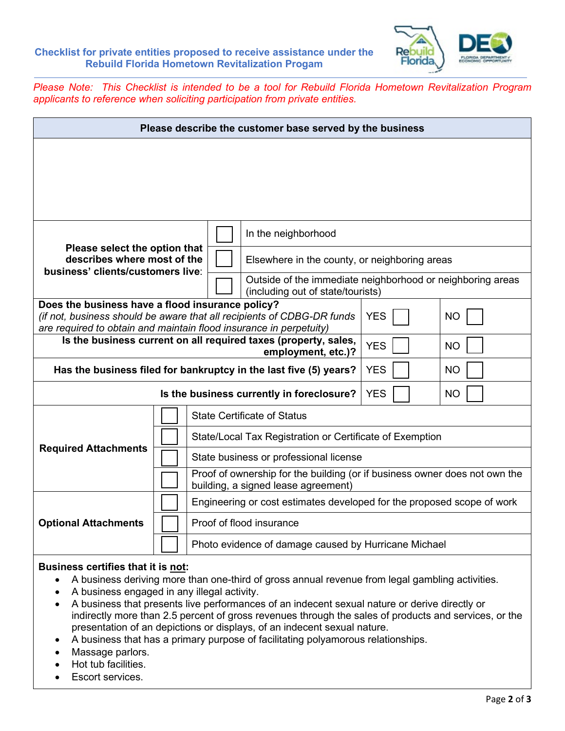

*Please Note: This Checklist is intended to be a tool for Rebuild Florida Hometown Revitalization Program applicants to reference when soliciting participation from private entities.*

| Please describe the customer base served by the business                                                                                                                                         |            |                                                                                                                   |                                               |                                                            |  |  |  |  |
|--------------------------------------------------------------------------------------------------------------------------------------------------------------------------------------------------|------------|-------------------------------------------------------------------------------------------------------------------|-----------------------------------------------|------------------------------------------------------------|--|--|--|--|
|                                                                                                                                                                                                  |            |                                                                                                                   |                                               |                                                            |  |  |  |  |
|                                                                                                                                                                                                  |            |                                                                                                                   |                                               |                                                            |  |  |  |  |
|                                                                                                                                                                                                  |            |                                                                                                                   |                                               |                                                            |  |  |  |  |
|                                                                                                                                                                                                  |            |                                                                                                                   | In the neighborhood                           |                                                            |  |  |  |  |
| Please select the option that<br>describes where most of the<br>business' clients/customers live:                                                                                                |            |                                                                                                                   | Elsewhere in the county, or neighboring areas |                                                            |  |  |  |  |
|                                                                                                                                                                                                  |            |                                                                                                                   | (including out of state/tourists)             | Outside of the immediate neighborhood or neighboring areas |  |  |  |  |
| Does the business have a flood insurance policy?<br>(if not, business should be aware that all recipients of CDBG-DR funds<br>are required to obtain and maintain flood insurance in perpetuity) | <b>YES</b> | <b>NO</b>                                                                                                         |                                               |                                                            |  |  |  |  |
| Is the business current on all required taxes (property, sales,                                                                                                                                  | <b>YES</b> | <b>NO</b>                                                                                                         |                                               |                                                            |  |  |  |  |
| Has the business filed for bankruptcy in the last five (5) years?                                                                                                                                | <b>YES</b> | <b>NO</b>                                                                                                         |                                               |                                                            |  |  |  |  |
|                                                                                                                                                                                                  | <b>YES</b> | <b>NO</b>                                                                                                         |                                               |                                                            |  |  |  |  |
|                                                                                                                                                                                                  |            | <b>State Certificate of Status</b>                                                                                |                                               |                                                            |  |  |  |  |
| <b>Required Attachments</b>                                                                                                                                                                      |            | State/Local Tax Registration or Certificate of Exemption                                                          |                                               |                                                            |  |  |  |  |
|                                                                                                                                                                                                  |            | State business or professional license                                                                            |                                               |                                                            |  |  |  |  |
|                                                                                                                                                                                                  |            | Proof of ownership for the building (or if business owner does not own the<br>building, a signed lease agreement) |                                               |                                                            |  |  |  |  |
| <b>Optional Attachments</b>                                                                                                                                                                      |            | Engineering or cost estimates developed for the proposed scope of work                                            |                                               |                                                            |  |  |  |  |
|                                                                                                                                                                                                  |            | Proof of flood insurance                                                                                          |                                               |                                                            |  |  |  |  |
|                                                                                                                                                                                                  |            | Photo evidence of damage caused by Hurricane Michael                                                              |                                               |                                                            |  |  |  |  |
| 49 <b>6</b> 9 a a' 40 an 40.                                                                                                                                                                     |            |                                                                                                                   |                                               |                                                            |  |  |  |  |

## **Business certifies that it is not:**

- A business deriving more than one-third of gross annual revenue from legal gambling activities.
- A business engaged in any illegal activity.
- A business that presents live performances of an indecent sexual nature or derive directly or indirectly more than 2.5 percent of gross revenues through the sales of products and services, or the presentation of an depictions or displays, of an indecent sexual nature.
- A business that has a primary purpose of facilitating polyamorous relationships.
- Massage parlors.
- Hot tub facilities.
- Escort services.